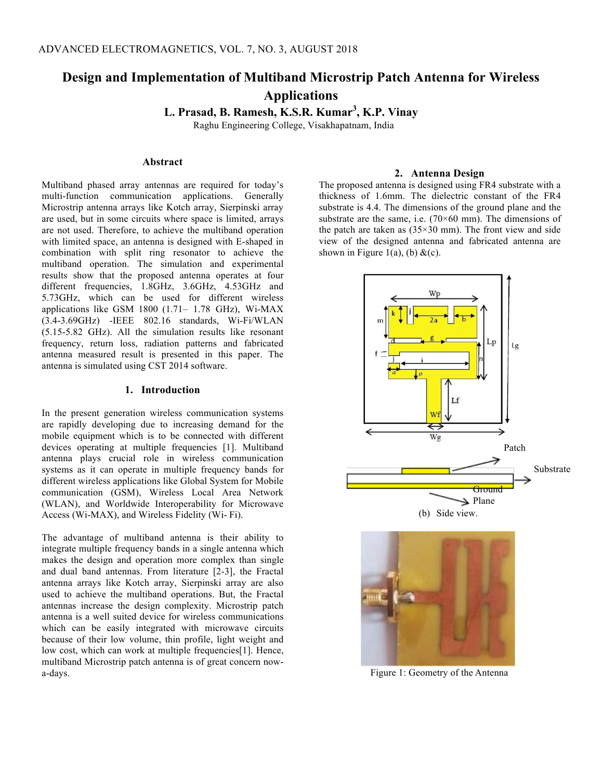# **Design and Implementation of Multiband Microstrip Patch Antenna for Wireless Applications**

 **L. Prasad, B. Ramesh, K.S.R. Kumar<sup>3</sup> , K.P. Vinay** 

Raghu Engineering College, Visakhapatnam, India

## **Abstract**

Multiband phased array antennas are required for today's multi-function communication applications. Generally Microstrip antenna arrays like Kotch array, Sierpinski array are used, but in some circuits where space is limited, arrays are not used. Therefore, to achieve the multiband operation with limited space, an antenna is designed with E-shaped in combination with split ring resonator to achieve the multiband operation. The simulation and experimental results show that the proposed antenna operates at four different frequencies, 1.8GHz, 3.6GHz, 4.53GHz and 5.73GHz, which can be used for different wireless applications like GSM 1800 (1.71– 1.78 GHz), Wi-MAX (3.4-3.69GHz) -IEEE 802.16 standards, Wi-Fi/WLAN (5.15-5.82 GHz). All the simulation results like resonant frequency, return loss, radiation patterns and fabricated antenna measured result is presented in this paper. The antenna is simulated using CST 2014 software.

# **1. Introduction**

In the present generation wireless communication systems are rapidly developing due to increasing demand for the mobile equipment which is to be connected with different devices operating at multiple frequencies [1]. Multiband antenna plays crucial role in wireless communication systems as it can operate in multiple frequency bands for different wireless applications like Global System for Mobile communication (GSM), Wireless Local Area Network (WLAN), and Worldwide Interoperability for Microwave Access (Wi-MAX), and Wireless Fidelity (Wi- Fi).

The advantage of multiband antenna is their ability to integrate multiple frequency bands in a single antenna which makes the design and operation more complex than single and dual band antennas. From literature [2-3], the Fractal antenna arrays like Kotch array, Sierpinski array are also used to achieve the multiband operations. But, the Fractal antennas increase the design complexity. Microstrip patch antenna is a well suited device for wireless communications which can be easily integrated with microwave circuits because of their low volume, thin profile, light weight and low cost, which can work at multiple frequencies[1]. Hence, multiband Microstrip patch antenna is of great concern nowa-days.

### **2. Antenna Design**

The proposed antenna is designed using FR4 substrate with a thickness of 1.6mm. The dielectric constant of the FR4 substrate is 4.4. The dimensions of the ground plane and the substrate are the same, i.e.  $(70 \times 60 \text{ mm})$ . The dimensions of the patch are taken as  $(35\times30 \text{ mm})$ . The front view and side view of the designed antenna and fabricated antenna are shown in Figure 1(a), (b)  $&c)$ .





Figure 1: Geometry of the Antenna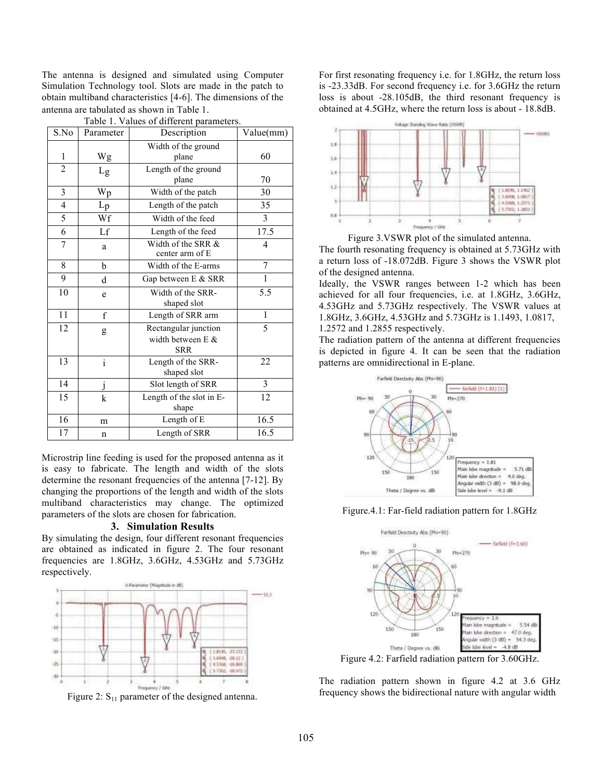The antenna is designed and simulated using Computer Simulation Technology tool. Slots are made in the patch to obtain multiband characteristics [4-6]. The dimensions of the antenna are tabulated as shown in Table 1.

| S.No           | Parameter               | Description                                                  | Value(mm)      |
|----------------|-------------------------|--------------------------------------------------------------|----------------|
| 1              | Wg                      | Width of the ground<br>plane                                 | 60             |
| $\overline{c}$ | $L_g$                   | Length of the ground<br>plane                                | 70             |
| 3              | $W_p$                   | Width of the patch                                           | 30             |
| 4              | $L_{p}$                 | Length of the patch                                          | 35             |
| 5              | Wf                      | Width of the feed                                            | 3              |
| 6              | Lf                      | Length of the feed                                           | 17.5           |
| 7              | a                       | Width of the SRR &<br>center arm of E                        | $\overline{4}$ |
| 8              | b                       | Width of the E-arms                                          | 7              |
| 9              | d                       | Gap between E & SRR                                          | 1              |
| 10             | e                       | Width of the SRR-<br>shaped slot                             | 5.5            |
| 11             | $\mathbf f$             | Length of SRR arm                                            | 1              |
| 12             | g                       | Rectangular junction<br>width between $E$ $\&$<br><b>SRR</b> | 5              |
| 13             | $\mathbf{i}$            | Length of the SRR-<br>shaped slot                            | 22             |
| 14             | $\overline{\mathbf{j}}$ | Slot length of SRR                                           | $\mathcal{E}$  |
| 15             | $\bf k$                 | Length of the slot in E-<br>shape                            | 12             |
| 16             | m                       | Length of E                                                  | 16.5           |
| 17             | n                       | Length of SRR                                                | 16.5           |

Table 1. Values of different parameters.

Microstrip line feeding is used for the proposed antenna as it is easy to fabricate. The length and width of the slots determine the resonant frequencies of the antenna [7-12]. By changing the proportions of the length and width of the slots multiband characteristics may change. The optimized parameters of the slots are chosen for fabrication.

#### **3. Simulation Results**

By simulating the design, four different resonant frequencies are obtained as indicated in figure 2. The four resonant frequencies are 1.8GHz, 3.6GHz, 4.53GHz and 5.73GHz respectively.



Figure 2:  $S_{11}$  parameter of the designed antenna.

For first resonating frequency i.e. for 1.8GHz, the return loss is -23.33dB. For second frequency i.e. for 3.6GHz the return loss is about -28.105dB, the third resonant frequency is obtained at 4.5GHz, where the return loss is about - 18.8dB.



Figure 3.VSWR plot of the simulated antenna.

The fourth resonating frequency is obtained at 5.73GHz with a return loss of -18.072dB. Figure 3 shows the VSWR plot of the designed antenna.

Ideally, the VSWR ranges between 1-2 which has been achieved for all four frequencies, i.e. at 1.8GHz, 3.6GHz, 4.53GHz and 5.73GHz respectively. The VSWR values at 1.8GHz, 3.6GHz, 4.53GHz and 5.73GHz is 1.1493, 1.0817,

1.2572 and 1.2855 respectively.

The radiation pattern of the antenna at different frequencies is depicted in figure 4. It can be seen that the radiation patterns are omnidirectional in E-plane.



Figure.4.1: Far-field radiation pattern for 1.8GHz



Figure 4.2: Farfield radiation pattern for 3.60GHz.

The radiation pattern shown in figure 4.2 at 3.6 GHz frequency shows the bidirectional nature with angular width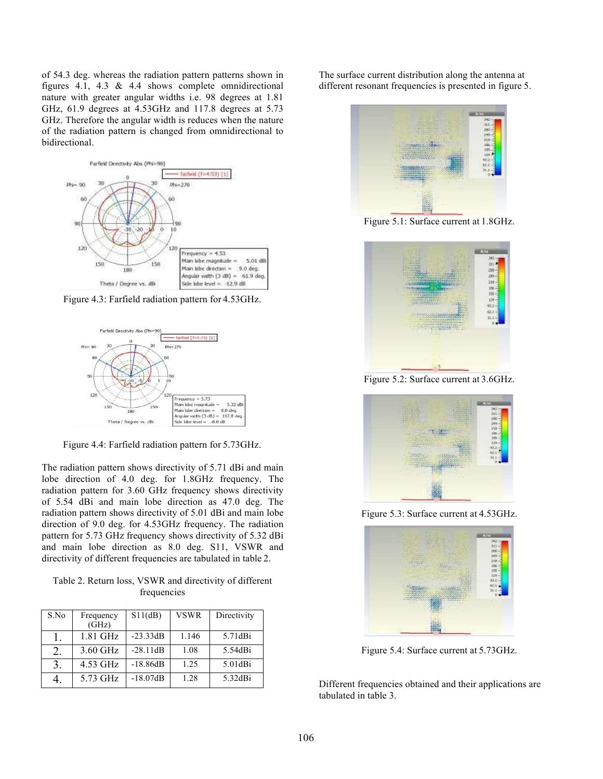of 54.3 deg. whereas the radiation pattern patterns shown in figures 4.1, 4.3 & 4.4 shows complete omnidirectional nature with greater angular widths i.e. 98 degrees at 1.81 GHz, 61.9 degrees at 4.53GHz and 117.8 degrees at 5.73 GHz. Therefore the angular width is reduces when the nature of the radiation pattern is changed from omnidirectional to bidirectional.



Figure 4.3: Farfield radiation pattern for 4.53GHz.



Figure 4.4: Farfield radiation pattern for 5.73GHz.

The radiation pattern shows directivity of 5.71 dBi and main lobe direction of 4.0 deg. for 1.8GHz frequency. The radiation pattern for 3.60 GHz frequency shows directivity of 5.54 dBi and main lobe direction as 47.0 deg. The radiation pattern shows directivity of 5.01 dBi and main lobe direction of 9.0 deg. for 4.53GHz frequency. The radiation pattern for 5.73 GHz frequency shows directivity of 5.32 dBi and main lobe direction as 8.0 deg. S11, VSWR and directivity of different frequencies are tabulated in table 2.

Table 2. Return loss, VSWR and directivity of different frequencies

| S.No | Frequency<br>$(\overline{GHz})$ | S11(dB)    | <b>VSWR</b> | Directivity |
|------|---------------------------------|------------|-------------|-------------|
|      | 1.81 GHz                        | $-23.33dB$ | 1.146       | 5.71dBi     |
| 2.   | 3.60 GHz                        | $-28.11dB$ | 1.08        | 5.54dBi     |
| 3.   | 4.53 GHz                        | $-18.86dB$ | 1.25        | 5.01dBi     |
|      | 5.73 GHz                        | $-18.07dB$ | 1.28        | 5.32dBi     |

The surface current distribution along the antenna at different resonant frequencies is presented in figure 5.



Figure 5.1: Surface current at 1.8GHz.



Figure 5.2: Surface current at 3.6GHz.



Figure 5.3: Surface current at 4.53GHz.



Figure 5.4: Surface current at 5.73GHz.

Different frequencies obtained and their applications are tabulated in table 3.